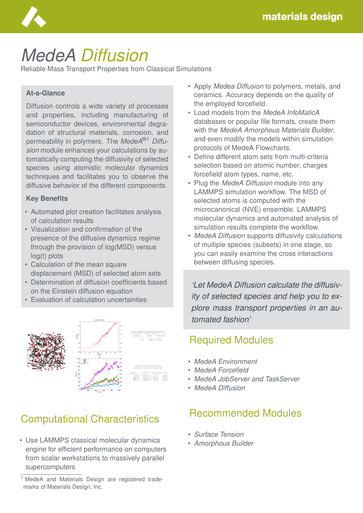

# *MedeA Diffusion*

Reliable Mass Transport Properties from Classical Simulations

#### **At-a-Glance**

Diffusion controls a wide variety of processes and properties, including manufacturing of semiconductor devices, environmental degradation of structural materials, corrosion, and permeability in polymers. The *MedeA*®1 *Diffusion* module enhances your calculations by automatically computing the diffusivity of selected species using atomistic molecular dynamics techniques and facilitates you to observe the diffusive behavior of the different components.

#### **Key Benefits**

- Automated plot creation facilitates analysis of calculation results
- Visualization and confirmation of the presence of the diffusive dynamics regime through the provision of log(MSD) versus log(t) plots
- Calculation of the mean square displacement (MSD) of selected atom sets
- Determination of diffusion coefficients based on the Einstein diffusion equation
- Evaluation of calculation uncertainties



# Computational Characteristics

• Use LAMMPS classical molecular dynamics engine for efficient performance on computers from scalar workstations to massively parallel supercomputers

- Apply *Medea Diffusion* to polymers, metals, and ceramics. Accuracy depends on the quality of the employed forcefield.
- Load models from the *MedeA InfoMaticA* databases or popular file formats, create them with the *MedeA Amorphous Materials Builder*, and even modify the models within simulation protocols of MedeA Flowcharts.
- Define different atom sets from multi-criteria selection based on atomic number, charges forcefield atom types, name, etc.
- Plug the *MedeA Diffusion* module into any LAMMPS simulation workflow. The MSD of selected atoms is computed with the microcanonical (NVE) ensemble. LAMMPS molecular dynamics and automated analysis of simulation results complete the workflow.
- *MedeA Diffusion* supports diffusivity calculations of multiple species (subsets) in one stage, so you can easily examine the cross interactions between diffusing species.

*'Let MedeA Diffusion calculate the diffusivity of selected species and help you to explore mass transport properties in an automated fashion'*

### Required Modules

- *MedeA Environment*
- *MedeA Forcefield*
- *MedeA JobServer and TaskServer*
- *MedeA Diffusion*

# Recommended Modules

- *Surface Tension*
- *Amorphous Builder*

MedeA and Materials Design are registered trademarks of Materials Design, Inc.